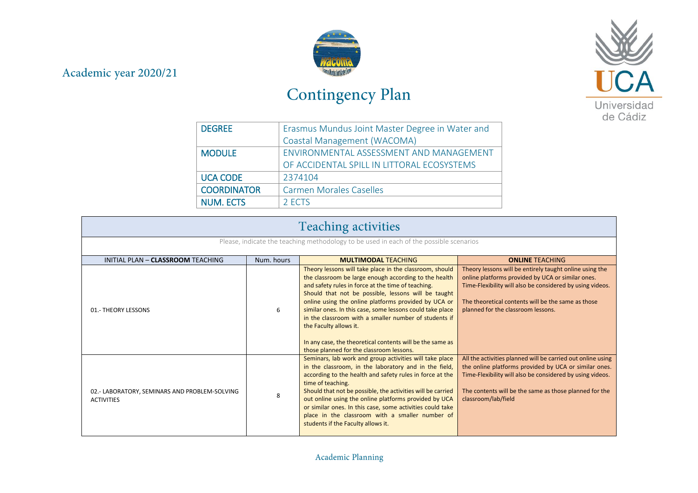## Academic year 2020/21



## Contingency Plan



| <b>DEGREE</b>      | Erasmus Mundus Joint Master Degree in Water and |
|--------------------|-------------------------------------------------|
|                    | Coastal Management (WACOMA)                     |
| <b>MODULE</b>      | ENVIRONMENTAL ASSESSMENT AND MANAGEMENT         |
|                    | OF ACCIDENTAL SPILL IN LITTORAL ECOSYSTEMS      |
| <b>UCA CODE</b>    | 2374104                                         |
| <b>COORDINATOR</b> | <b>Carmen Morales Caselles</b>                  |
| <b>NUM. ECTS</b>   | 2 ECTS                                          |

| <b>Teaching activities</b>                                                             |            |                                                                                                                                                                                                                                                                                                                                                                                                                                                                                                                                                |                                                                                                                                                                                                                                                                       |
|----------------------------------------------------------------------------------------|------------|------------------------------------------------------------------------------------------------------------------------------------------------------------------------------------------------------------------------------------------------------------------------------------------------------------------------------------------------------------------------------------------------------------------------------------------------------------------------------------------------------------------------------------------------|-----------------------------------------------------------------------------------------------------------------------------------------------------------------------------------------------------------------------------------------------------------------------|
| Please, indicate the teaching methodology to be used in each of the possible scenarios |            |                                                                                                                                                                                                                                                                                                                                                                                                                                                                                                                                                |                                                                                                                                                                                                                                                                       |
| INITIAL PLAN - CLASSROOM TEACHING                                                      | Num, hours | <b>MULTIMODAL TEACHING</b>                                                                                                                                                                                                                                                                                                                                                                                                                                                                                                                     | <b>ONLINE TEACHING</b>                                                                                                                                                                                                                                                |
| 01.- THEORY LESSONS                                                                    | 6          | Theory lessons will take place in the classroom, should<br>the classroom be large enough according to the health<br>and safety rules in force at the time of teaching.<br>Should that not be possible, lessons will be taught<br>online using the online platforms provided by UCA or<br>similar ones. In this case, some lessons could take place<br>in the classroom with a smaller number of students if<br>the Faculty allows it.<br>In any case, the theoretical contents will be the same as<br>those planned for the classroom lessons. | Theory lessons will be entirely taught online using the<br>online platforms provided by UCA or similar ones.<br>Time-Flexibility will also be considered by using videos.<br>The theoretical contents will be the same as those<br>planned for the classroom lessons. |
| 02.- LABORATORY, SEMINARS AND PROBLEM-SOLVING<br><b>ACTIVITIES</b>                     | 8          | Seminars, lab work and group activities will take place<br>in the classroom, in the laboratory and in the field,<br>according to the health and safety rules in force at the<br>time of teaching.<br>Should that not be possible, the activities will be carried<br>out online using the online platforms provided by UCA<br>or similar ones. In this case, some activities could take<br>place in the classroom with a smaller number of<br>students if the Faculty allows it.                                                                | All the activities planned will be carried out online using<br>the online platforms provided by UCA or similar ones.<br>Time-Flexibility will also be considered by using videos.<br>The contents will be the same as those planned for the<br>classroom/lab/field    |